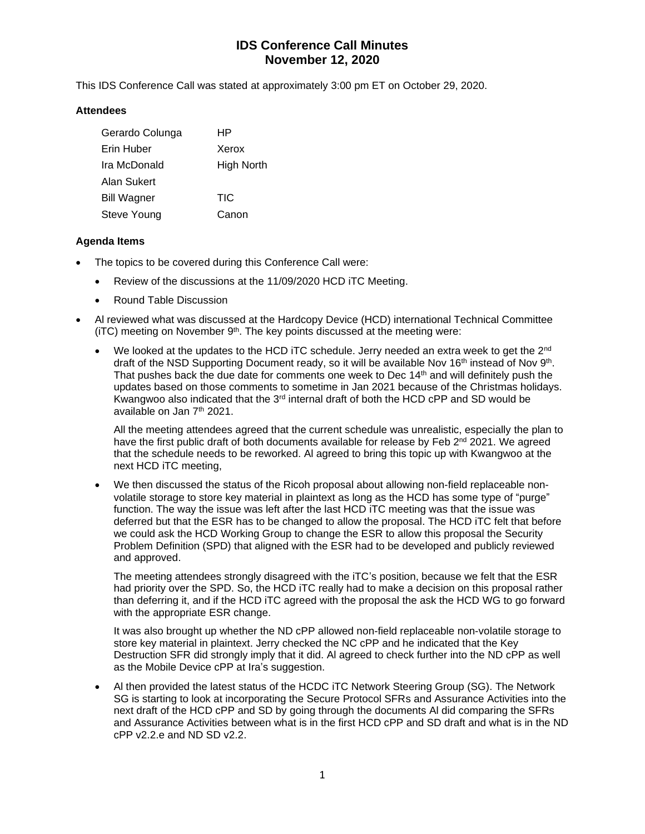# **IDS Conference Call Minutes November 12, 2020**

This IDS Conference Call was stated at approximately 3:00 pm ET on October 29, 2020.

#### **Attendees**

| Gerardo Colunga    | HP         |
|--------------------|------------|
| Erin Huber         | Xerox      |
| Ira McDonald       | High North |
| Alan Sukert        |            |
| <b>Bill Wagner</b> | TIC        |
| Steve Young        | Canon      |

#### **Agenda Items**

- The topics to be covered during this Conference Call were:
	- Review of the discussions at the 11/09/2020 HCD iTC Meeting.
	- Round Table Discussion
- Al reviewed what was discussed at the Hardcopy Device (HCD) international Technical Committee  $(iTC)$  meeting on November  $9<sup>th</sup>$ . The key points discussed at the meeting were:
	- We looked at the updates to the HCD iTC schedule. Jerry needed an extra week to get the 2<sup>nd</sup> draft of the NSD Supporting Document ready, so it will be available Nov 16<sup>th</sup> instead of Nov 9<sup>th</sup>. That pushes back the due date for comments one week to Dec  $14<sup>th</sup>$  and will definitely push the updates based on those comments to sometime in Jan 2021 because of the Christmas holidays. Kwangwoo also indicated that the 3<sup>rd</sup> internal draft of both the HCD cPP and SD would be available on Jan 7<sup>th</sup> 2021.

All the meeting attendees agreed that the current schedule was unrealistic, especially the plan to have the first public draft of both documents available for release by Feb 2<sup>nd</sup> 2021. We agreed that the schedule needs to be reworked. Al agreed to bring this topic up with Kwangwoo at the next HCD iTC meeting,

• We then discussed the status of the Ricoh proposal about allowing non-field replaceable nonvolatile storage to store key material in plaintext as long as the HCD has some type of "purge" function. The way the issue was left after the last HCD iTC meeting was that the issue was deferred but that the ESR has to be changed to allow the proposal. The HCD iTC felt that before we could ask the HCD Working Group to change the ESR to allow this proposal the Security Problem Definition (SPD) that aligned with the ESR had to be developed and publicly reviewed and approved.

The meeting attendees strongly disagreed with the iTC's position, because we felt that the ESR had priority over the SPD. So, the HCD iTC really had to make a decision on this proposal rather than deferring it, and if the HCD iTC agreed with the proposal the ask the HCD WG to go forward with the appropriate ESR change.

It was also brought up whether the ND cPP allowed non-field replaceable non-volatile storage to store key material in plaintext. Jerry checked the NC cPP and he indicated that the Key Destruction SFR did strongly imply that it did. Al agreed to check further into the ND cPP as well as the Mobile Device cPP at Ira's suggestion.

• Al then provided the latest status of the HCDC iTC Network Steering Group (SG). The Network SG is starting to look at incorporating the Secure Protocol SFRs and Assurance Activities into the next draft of the HCD cPP and SD by going through the documents Al did comparing the SFRs and Assurance Activities between what is in the first HCD cPP and SD draft and what is in the ND cPP v2.2.e and ND SD v2.2.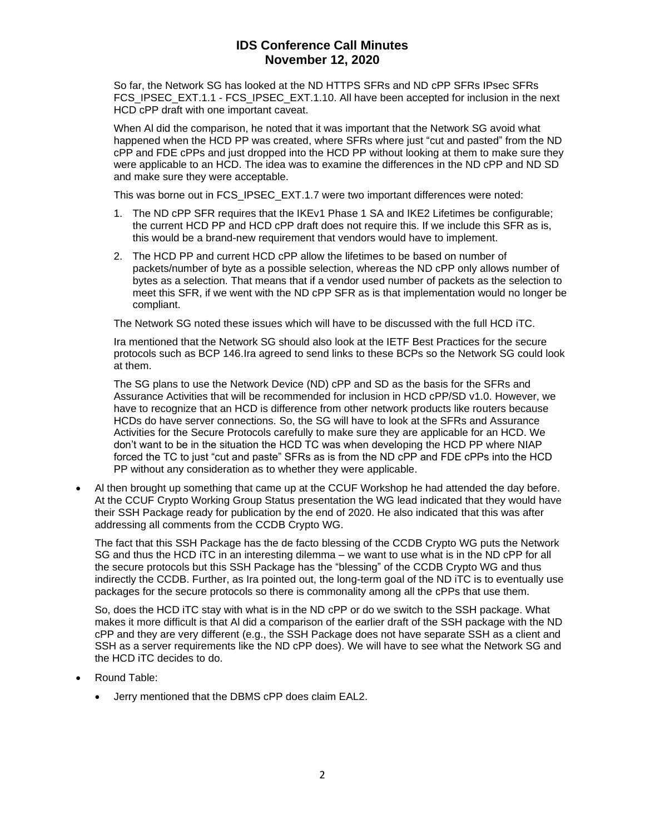# **IDS Conference Call Minutes November 12, 2020**

So far, the Network SG has looked at the ND HTTPS SFRs and ND cPP SFRs IPsec SFRs FCS\_IPSEC\_EXT.1.1 - FCS\_IPSEC\_EXT.1.10. All have been accepted for inclusion in the next HCD cPP draft with one important caveat.

When Al did the comparison, he noted that it was important that the Network SG avoid what happened when the HCD PP was created, where SFRs where just "cut and pasted" from the ND cPP and FDE cPPs and just dropped into the HCD PP without looking at them to make sure they were applicable to an HCD. The idea was to examine the differences in the ND cPP and ND SD and make sure they were acceptable.

This was borne out in FCS\_IPSEC\_EXT.1.7 were two important differences were noted:

- 1. The ND cPP SFR requires that the IKEv1 Phase 1 SA and IKE2 Lifetimes be configurable; the current HCD PP and HCD cPP draft does not require this. If we include this SFR as is, this would be a brand-new requirement that vendors would have to implement.
- 2. The HCD PP and current HCD cPP allow the lifetimes to be based on number of packets/number of byte as a possible selection, whereas the ND cPP only allows number of bytes as a selection. That means that if a vendor used number of packets as the selection to meet this SFR, if we went with the ND cPP SFR as is that implementation would no longer be compliant.

The Network SG noted these issues which will have to be discussed with the full HCD iTC.

Ira mentioned that the Network SG should also look at the IETF Best Practices for the secure protocols such as BCP 146.Ira agreed to send links to these BCPs so the Network SG could look at them.

The SG plans to use the Network Device (ND) cPP and SD as the basis for the SFRs and Assurance Activities that will be recommended for inclusion in HCD cPP/SD v1.0. However, we have to recognize that an HCD is difference from other network products like routers because HCDs do have server connections. So, the SG will have to look at the SFRs and Assurance Activities for the Secure Protocols carefully to make sure they are applicable for an HCD. We don't want to be in the situation the HCD TC was when developing the HCD PP where NIAP forced the TC to just "cut and paste" SFRs as is from the ND cPP and FDE cPPs into the HCD PP without any consideration as to whether they were applicable.

• Al then brought up something that came up at the CCUF Workshop he had attended the day before. At the CCUF Crypto Working Group Status presentation the WG lead indicated that they would have their SSH Package ready for publication by the end of 2020. He also indicated that this was after addressing all comments from the CCDB Crypto WG.

The fact that this SSH Package has the de facto blessing of the CCDB Crypto WG puts the Network SG and thus the HCD iTC in an interesting dilemma – we want to use what is in the ND cPP for all the secure protocols but this SSH Package has the "blessing" of the CCDB Crypto WG and thus indirectly the CCDB. Further, as Ira pointed out, the long-term goal of the ND iTC is to eventually use packages for the secure protocols so there is commonality among all the cPPs that use them.

So, does the HCD iTC stay with what is in the ND cPP or do we switch to the SSH package. What makes it more difficult is that Al did a comparison of the earlier draft of the SSH package with the ND cPP and they are very different (e.g., the SSH Package does not have separate SSH as a client and SSH as a server requirements like the ND cPP does). We will have to see what the Network SG and the HCD iTC decides to do.

- Round Table:
	- Jerry mentioned that the DBMS cPP does claim EAL2.